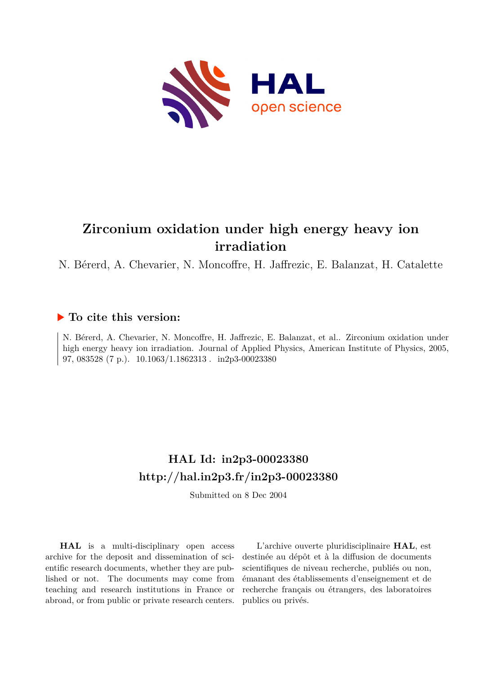

# **Zirconium oxidation under high energy heavy ion irradiation**

N. Bérerd, A. Chevarier, N. Moncoffre, H. Jaffrezic, E. Balanzat, H. Catalette

## **To cite this version:**

N. Bérerd, A. Chevarier, N. Moncoffre, H. Jaffrezic, E. Balanzat, et al.. Zirconium oxidation under high energy heavy ion irradiation. Journal of Applied Physics, American Institute of Physics, 2005, 97, 083528 (7 p.).  $10.1063/1.1862313$ . in2p3-00023380

## **HAL Id: in2p3-00023380 <http://hal.in2p3.fr/in2p3-00023380>**

Submitted on 8 Dec 2004

**HAL** is a multi-disciplinary open access archive for the deposit and dissemination of scientific research documents, whether they are published or not. The documents may come from teaching and research institutions in France or abroad, or from public or private research centers.

L'archive ouverte pluridisciplinaire **HAL**, est destinée au dépôt et à la diffusion de documents scientifiques de niveau recherche, publiés ou non, émanant des établissements d'enseignement et de recherche français ou étrangers, des laboratoires publics ou privés.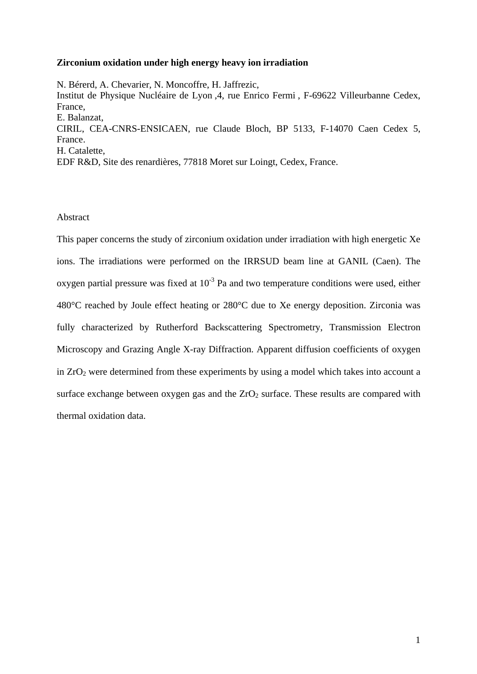#### **Zirconium oxidation under high energy heavy ion irradiation**

N. Bérerd, A. Chevarier, N. Moncoffre, H. Jaffrezic, Institut de Physique Nucléaire de Lyon ,4, rue Enrico Fermi , F-69622 Villeurbanne Cedex, France, E. Balanzat, CIRIL, CEA-CNRS-ENSICAEN, rue Claude Bloch, BP 5133, F-14070 Caen Cedex 5, France. H. Catalette, EDF R&D, Site des renardières, 77818 Moret sur Loingt, Cedex, France.

## Abstract

This paper concerns the study of zirconium oxidation under irradiation with high energetic Xe ions. The irradiations were performed on the IRRSUD beam line at GANIL (Caen). The oxygen partial pressure was fixed at  $10^{-3}$  Pa and two temperature conditions were used, either 480°C reached by Joule effect heating or 280°C due to Xe energy deposition. Zirconia was fully characterized by Rutherford Backscattering Spectrometry, Transmission Electron Microscopy and Grazing Angle X-ray Diffraction. Apparent diffusion coefficients of oxygen in ZrO2 were determined from these experiments by using a model which takes into account a surface exchange between oxygen gas and the  $ZrO<sub>2</sub>$  surface. These results are compared with thermal oxidation data.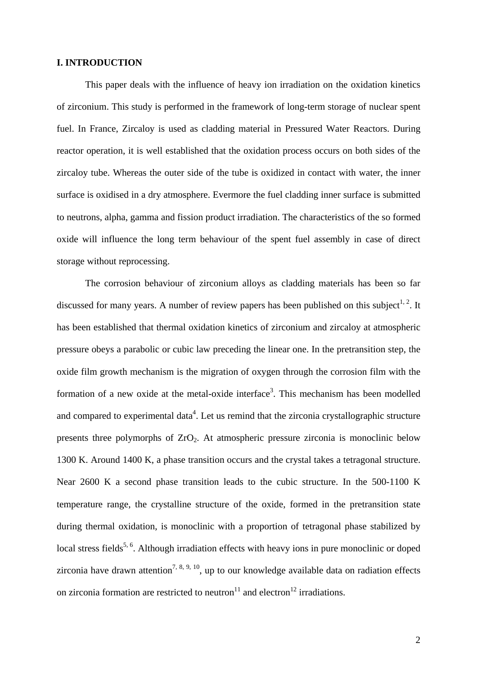## **I. INTRODUCTION**

This paper deals with the influence of heavy ion irradiation on the oxidation kinetics of zirconium. This study is performed in the framework of long-term storage of nuclear spent fuel. In France, Zircaloy is used as cladding material in Pressured Water Reactors. During reactor operation, it is well established that the oxidation process occurs on both sides of the zircaloy tube. Whereas the outer side of the tube is oxidized in contact with water, the inner surface is oxidised in a dry atmosphere. Evermore the fuel cladding inner surface is submitted to neutrons, alpha, gamma and fission product irradiation. The characteristics of the so formed oxide will influence the long term behaviour of the spent fuel assembly in case of direct storage without reprocessing.

The corrosion behaviour of zirconium alloys as cladding materials has been so far discussed for many years. A number of review papers has been published on this subject<sup>1, 2</sup>. It has been established that thermal oxidation kinetics of zirconium and zircaloy at atmospheric pressure obeys a parabolic or cubic law preceding the linear one. In the pretransition step, the oxide film growth mechanism is the migration of oxygen through the corrosion film with the formation of a new oxide at the metal-oxide interface<sup>3</sup>. This mechanism has been modelled and compared to experimental data<sup>4</sup>. Let us remind that the zirconia crystallographic structure presents three polymorphs of  $ZrO<sub>2</sub>$ . At atmospheric pressure zirconia is monoclinic below 1300 K. Around 1400 K, a phase transition occurs and the crystal takes a tetragonal structure. Near 2600 K a second phase transition leads to the cubic structure. In the 500-1100 K temperature range, the crystalline structure of the oxide, formed in the pretransition state during thermal oxidation, is monoclinic with a proportion of tetragonal phase stabilized by local stress fields<sup>5, 6</sup>. Although irradiation effects with heavy ions in pure monoclinic or doped zirconia have drawn attention<sup>7, 8, 9, 10</sup>, up to our knowledge available data on radiation effects on zirconia formation are restricted to neutron<sup>11</sup> and electron<sup>12</sup> irradiations.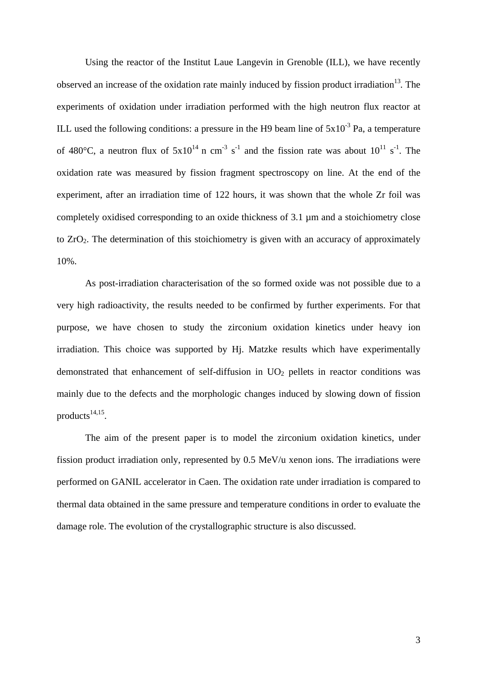Using the reactor of the Institut Laue Langevin in Grenoble (ILL), we have recently observed an increase of the oxidation rate mainly induced by fission product irradiation<sup>13</sup>. The experiments of oxidation under irradiation performed with the high neutron flux reactor at ILL used the following conditions: a pressure in the H9 beam line of  $5x10^{-3}$  Pa, a temperature of 480 $^{\circ}$ C, a neutron flux of  $5x10^{14}$  n cm<sup>-3</sup> s<sup>-1</sup> and the fission rate was about  $10^{11}$  s<sup>-1</sup>. The oxidation rate was measured by fission fragment spectroscopy on line. At the end of the experiment, after an irradiation time of 122 hours, it was shown that the whole Zr foil was completely oxidised corresponding to an oxide thickness of 3.1 µm and a stoichiometry close to ZrO2. The determination of this stoichiometry is given with an accuracy of approximately 10%.

As post-irradiation characterisation of the so formed oxide was not possible due to a very high radioactivity, the results needed to be confirmed by further experiments. For that purpose, we have chosen to study the zirconium oxidation kinetics under heavy ion irradiation. This choice was supported by Hj. Matzke results which have experimentally demonstrated that enhancement of self-diffusion in  $UO<sub>2</sub>$  pellets in reactor conditions was mainly due to the defects and the morphologic changes induced by slowing down of fission products $^{14,15}$ .

The aim of the present paper is to model the zirconium oxidation kinetics, under fission product irradiation only, represented by 0.5 MeV/u xenon ions. The irradiations were performed on GANIL accelerator in Caen. The oxidation rate under irradiation is compared to thermal data obtained in the same pressure and temperature conditions in order to evaluate the damage role. The evolution of the crystallographic structure is also discussed.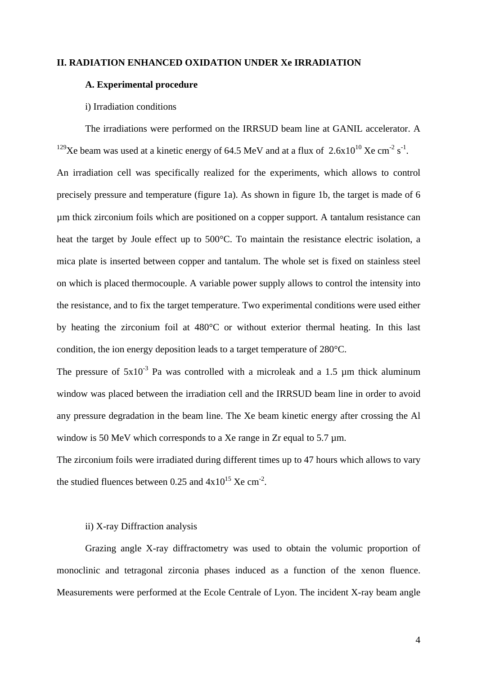## **II. RADIATION ENHANCED OXIDATION UNDER Xe IRRADIATION**

## **A. Experimental procedure**

#### i) Irradiation conditions

The irradiations were performed on the IRRSUD beam line at GANIL accelerator. A <sup>129</sup>Xe beam was used at a kinetic energy of 64.5 MeV and at a flux of  $2.6x10^{10}$  Xe cm<sup>-2</sup> s<sup>-1</sup>. An irradiation cell was specifically realized for the experiments, which allows to control precisely pressure and temperature (figure 1a). As shown in figure 1b, the target is made of 6 µm thick zirconium foils which are positioned on a copper support. A tantalum resistance can heat the target by Joule effect up to 500°C. To maintain the resistance electric isolation, a mica plate is inserted between copper and tantalum. The whole set is fixed on stainless steel on which is placed thermocouple. A variable power supply allows to control the intensity into the resistance, and to fix the target temperature. Two experimental conditions were used either by heating the zirconium foil at 480°C or without exterior thermal heating. In this last condition, the ion energy deposition leads to a target temperature of 280°C.

The pressure of  $5x10^{-3}$  Pa was controlled with a microleak and a 1.5  $\mu$ m thick aluminum window was placed between the irradiation cell and the IRRSUD beam line in order to avoid any pressure degradation in the beam line. The Xe beam kinetic energy after crossing the Al window is 50 MeV which corresponds to a Xe range in Zr equal to 5.7  $\mu$ m.

The zirconium foils were irradiated during different times up to 47 hours which allows to vary the studied fluences between 0.25 and  $4x10^{15}$  Xe cm<sup>-2</sup>.

## ii) X-ray Diffraction analysis

Grazing angle X-ray diffractometry was used to obtain the volumic proportion of monoclinic and tetragonal zirconia phases induced as a function of the xenon fluence. Measurements were performed at the Ecole Centrale of Lyon. The incident X-ray beam angle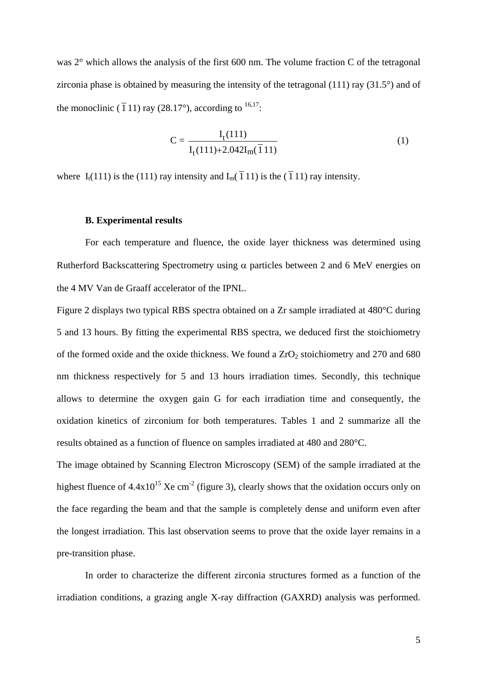was 2° which allows the analysis of the first 600 nm. The volume fraction C of the tetragonal zirconia phase is obtained by measuring the intensity of the tetragonal (111) ray (31.5°) and of the monoclinic ( $\overline{1}$  11) ray (28.17°), according to <sup>16,17</sup>:

$$
C = \frac{I_t(111)}{I_t(111) + 2.042I_m(\bar{1}11)}
$$
 (1)

where I<sub>t</sub>(111) is the (111) ray intensity and I<sub>m</sub>( $\overline{1}$ 11) is the ( $\overline{1}$ 11) ray intensity.

#### **B. Experimental results**

For each temperature and fluence, the oxide layer thickness was determined using Rutherford Backscattering Spectrometry using  $\alpha$  particles between 2 and 6 MeV energies on the 4 MV Van de Graaff accelerator of the IPNL.

Figure 2 displays two typical RBS spectra obtained on a Zr sample irradiated at 480°C during 5 and 13 hours. By fitting the experimental RBS spectra, we deduced first the stoichiometry of the formed oxide and the oxide thickness. We found a  $ZrO<sub>2</sub>$  stoichiometry and 270 and 680 nm thickness respectively for 5 and 13 hours irradiation times. Secondly, this technique allows to determine the oxygen gain G for each irradiation time and consequently, the oxidation kinetics of zirconium for both temperatures. Tables 1 and 2 summarize all the results obtained as a function of fluence on samples irradiated at 480 and 280°C.

The image obtained by Scanning Electron Microscopy (SEM) of the sample irradiated at the highest fluence of  $4.4x10^{15}$  Xe cm<sup>-2</sup> (figure 3), clearly shows that the oxidation occurs only on the face regarding the beam and that the sample is completely dense and uniform even after the longest irradiation. This last observation seems to prove that the oxide layer remains in a pre-transition phase.

In order to characterize the different zirconia structures formed as a function of the irradiation conditions, a grazing angle X-ray diffraction (GAXRD) analysis was performed.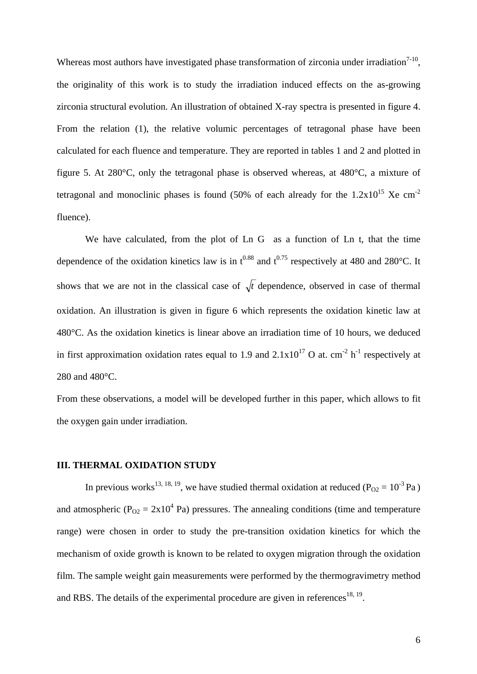Whereas most authors have investigated phase transformation of zirconia under irradiation $7-10$ , the originality of this work is to study the irradiation induced effects on the as-growing zirconia structural evolution. An illustration of obtained X-ray spectra is presented in figure 4. From the relation (1), the relative volumic percentages of tetragonal phase have been calculated for each fluence and temperature. They are reported in tables 1 and 2 and plotted in figure 5. At 280°C, only the tetragonal phase is observed whereas, at 480°C, a mixture of tetragonal and monoclinic phases is found (50% of each already for the  $1.2x10^{15}$  Xe cm<sup>-2</sup> fluence).

We have calculated, from the plot of Ln G as a function of Ln t, that the time dependence of the oxidation kinetics law is in  $t^{0.88}$  and  $t^{0.75}$  respectively at 480 and 280°C. It shows that we are not in the classical case of  $\sqrt{t}$  dependence, observed in case of thermal oxidation. An illustration is given in figure 6 which represents the oxidation kinetic law at 480°C. As the oxidation kinetics is linear above an irradiation time of 10 hours, we deduced in first approximation oxidation rates equal to 1.9 and  $2.1 \times 10^{17}$  O at. cm<sup>-2</sup> h<sup>-1</sup> respectively at 280 and 480°C.

From these observations, a model will be developed further in this paper, which allows to fit the oxygen gain under irradiation.

#### **III. THERMAL OXIDATION STUDY**

In previous works<sup>13, 18, 19</sup>, we have studied thermal oxidation at reduced ( $P_{O2} = 10^{-3}$  Pa) and atmospheric ( $P_{O2} = 2x10^4$  Pa) pressures. The annealing conditions (time and temperature range) were chosen in order to study the pre-transition oxidation kinetics for which the mechanism of oxide growth is known to be related to oxygen migration through the oxidation film. The sample weight gain measurements were performed by the thermogravimetry method and RBS. The details of the experimental procedure are given in references<sup>18, 19</sup>.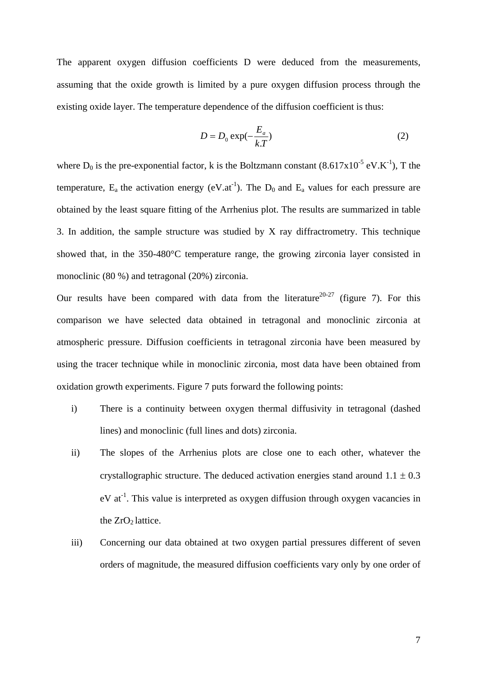The apparent oxygen diffusion coefficients D were deduced from the measurements, assuming that the oxide growth is limited by a pure oxygen diffusion process through the existing oxide layer. The temperature dependence of the diffusion coefficient is thus:

$$
D = D_0 \exp(-\frac{E_a}{kT})
$$
 (2)

where  $D_0$  is the pre-exponential factor, k is the Boltzmann constant (8.617x10<sup>-5</sup> eV.K<sup>-1</sup>), T the temperature,  $E_a$  the activation energy (eV.at<sup>-1</sup>). The  $D_0$  and  $E_a$  values for each pressure are obtained by the least square fitting of the Arrhenius plot. The results are summarized in table 3. In addition, the sample structure was studied by X ray diffractrometry. This technique showed that, in the 350-480°C temperature range, the growing zirconia layer consisted in monoclinic (80 %) and tetragonal (20%) zirconia.

Our results have been compared with data from the literature<sup>20-27</sup> (figure 7). For this comparison we have selected data obtained in tetragonal and monoclinic zirconia at atmospheric pressure. Diffusion coefficients in tetragonal zirconia have been measured by using the tracer technique while in monoclinic zirconia, most data have been obtained from oxidation growth experiments. Figure 7 puts forward the following points:

- i) There is a continuity between oxygen thermal diffusivity in tetragonal (dashed lines) and monoclinic (full lines and dots) zirconia.
- ii) The slopes of the Arrhenius plots are close one to each other, whatever the crystallographic structure. The deduced activation energies stand around  $1.1 \pm 0.3$  $eV$  at<sup>-1</sup>. This value is interpreted as oxygen diffusion through oxygen vacancies in the  $ZrO<sub>2</sub>$  lattice.
- iii) Concerning our data obtained at two oxygen partial pressures different of seven orders of magnitude, the measured diffusion coefficients vary only by one order of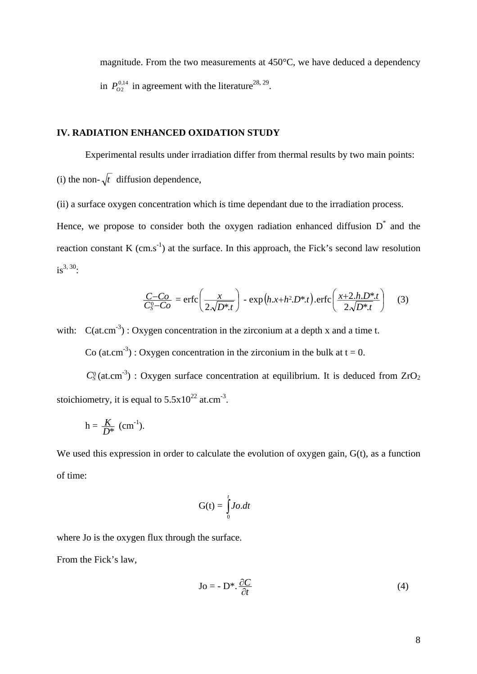magnitude. From the two measurements at 450°C, we have deduced a dependency in  $P_{O2}^{0,14}$  in agreement with the literature<sup>28, 29</sup>.

## **IV. RADIATION ENHANCED OXIDATION STUDY**

Experimental results under irradiation differ from thermal results by two main points: (i) the non- $\sqrt{t}$  diffusion dependence,

(ii) a surface oxygen concentration which is time dependant due to the irradiation process.

Hence, we propose to consider both the oxygen radiation enhanced diffusion  $D^*$  and the reaction constant K (cm.s<sup>-1</sup>) at the surface. In this approach, the Fick's second law resolution  $is^{3, 30}$ :

$$
\frac{C-Co}{C_s^0-Co} = \text{erfc}\left(\frac{x}{2\sqrt{D^*t}}\right) - \exp\left(h.x+h^2.D^*t\right). \text{erfc}\left(\frac{x+2.h.D^*t}{2\sqrt{D^*t}}\right) \tag{3}
$$

with:  $C(at.cm^{-3})$ : Oxygen concentration in the zirconium at a depth x and a time t.

Co (at.cm<sup>-3</sup>) : Oxygen concentration in the zirconium in the bulk at  $t = 0$ .

 $C_5^0$ (at.cm<sup>-3</sup>) : Oxygen surface concentration at equilibrium. It is deduced from  $ZrO_2$ stoichiometry, it is equal to  $5.5x10^{22}$  at.cm<sup>-3</sup>.

$$
h=\frac{K}{D^*} \text{ (cm}^{-1}).
$$

We used this expression in order to calculate the evolution of oxygen gain, G(t), as a function of time:

$$
G(t) = \int_{0}^{t} Jo. dt
$$

where Jo is the oxygen flux through the surface.

From the Fick's law,

$$
Jo = -D^* \cdot \frac{\partial C}{\partial t} \tag{4}
$$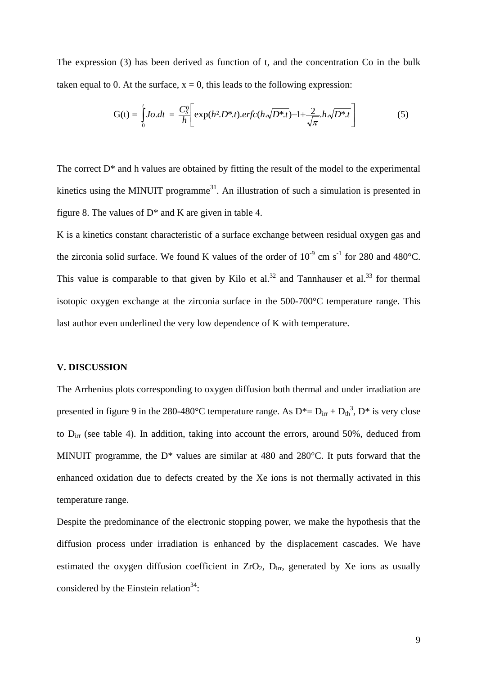The expression (3) has been derived as function of t, and the concentration Co in the bulk taken equal to 0. At the surface,  $x = 0$ , this leads to the following expression:

$$
G(t) = \int_{0}^{t} Jo. dt = \frac{C_{S}^{0}}{h} \bigg[ exp(h^{2}.D^{*}.t).erfc(h\sqrt{D^{*}.t}) - 1 + \frac{2}{\sqrt{\pi}}.h\sqrt{D^{*}.t} \bigg]
$$
(5)

The correct  $D^*$  and h values are obtained by fitting the result of the model to the experimental kinetics using the MINUIT programme<sup>31</sup>. An illustration of such a simulation is presented in figure 8. The values of  $D^*$  and K are given in table 4.

K is a kinetics constant characteristic of a surface exchange between residual oxygen gas and the zirconia solid surface. We found K values of the order of  $10^{-9}$  cm s<sup>-1</sup> for 280 and 480°C. This value is comparable to that given by Kilo et al.<sup>32</sup> and Tannhauser et al.<sup>33</sup> for thermal isotopic oxygen exchange at the zirconia surface in the 500-700°C temperature range. This last author even underlined the very low dependence of K with temperature.

#### **V. DISCUSSION**

The Arrhenius plots corresponding to oxygen diffusion both thermal and under irradiation are presented in figure 9 in the 280-480°C temperature range. As  $D^* = D_{irr} + D_{th}^3$ ,  $D^*$  is very close to  $D_{irr}$  (see table 4). In addition, taking into account the errors, around 50%, deduced from MINUIT programme, the  $D^*$  values are similar at 480 and 280 $^{\circ}$ C. It puts forward that the enhanced oxidation due to defects created by the Xe ions is not thermally activated in this temperature range.

Despite the predominance of the electronic stopping power, we make the hypothesis that the diffusion process under irradiation is enhanced by the displacement cascades. We have estimated the oxygen diffusion coefficient in  $ZrO_2$ ,  $D_{irr}$ , generated by Xe ions as usually considered by the Einstein relation  $34$ :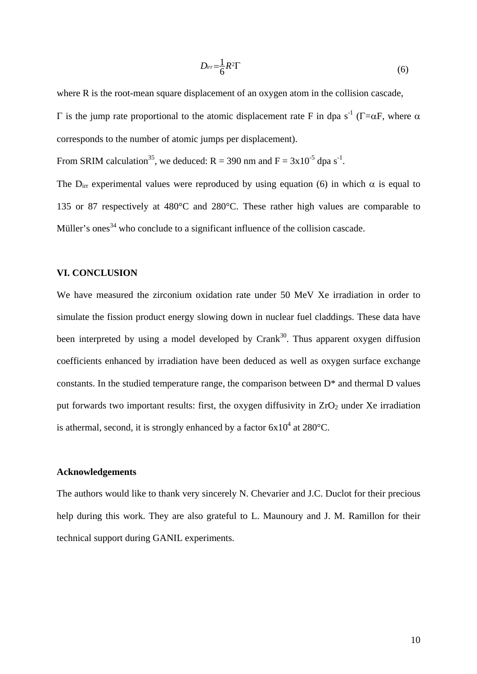$$
D_{irr} = \frac{1}{6}R^2\Gamma
$$
 (6)

where R is the root-mean square displacement of an oxygen atom in the collision cascade,

Γ is the jump rate proportional to the atomic displacement rate F in dpa s<sup>-1</sup> (Γ=αF, where α corresponds to the number of atomic jumps per displacement).

From SRIM calculation<sup>35</sup>, we deduced:  $R = 390$  nm and  $F = 3x10^{-5}$  dpa s<sup>-1</sup>.

The D<sub>irr</sub> experimental values were reproduced by using equation (6) in which  $\alpha$  is equal to 135 or 87 respectively at 480°C and 280°C. These rather high values are comparable to Müller's ones<sup>34</sup> who conclude to a significant influence of the collision cascade.

### **VI. CONCLUSION**

We have measured the zirconium oxidation rate under 50 MeV Xe irradiation in order to simulate the fission product energy slowing down in nuclear fuel claddings. These data have been interpreted by using a model developed by  $Crank<sup>30</sup>$ . Thus apparent oxygen diffusion coefficients enhanced by irradiation have been deduced as well as oxygen surface exchange constants. In the studied temperature range, the comparison between  $D^*$  and thermal D values put forwards two important results: first, the oxygen diffusivity in  $ZrO<sub>2</sub>$  under Xe irradiation is athermal, second, it is strongly enhanced by a factor  $6x10^4$  at  $280^{\circ}$ C.

#### **Acknowledgements**

The authors would like to thank very sincerely N. Chevarier and J.C. Duclot for their precious help during this work. They are also grateful to L. Maunoury and J. M. Ramillon for their technical support during GANIL experiments.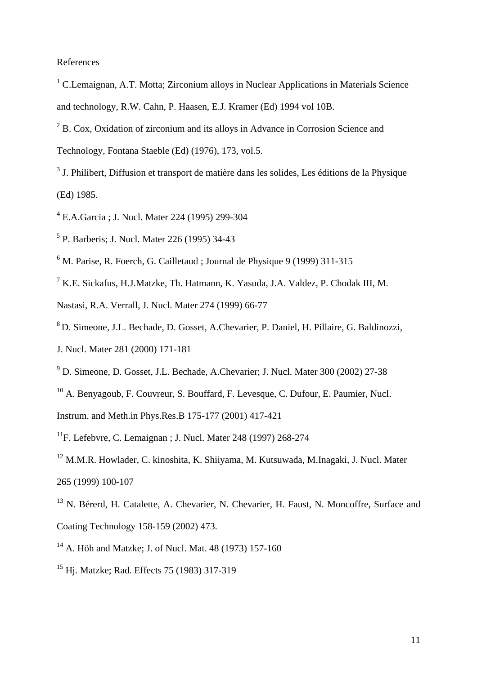## References

- <sup>1</sup> C.Lemaignan, A.T. Motta; Zirconium alloys in Nuclear Applications in Materials Science and technology, R.W. Cahn, P. Haasen, E.J. Kramer (Ed) 1994 vol 10B.
- <sup>2</sup> B. Cox, Oxidation of zirconium and its alloys in Advance in Corrosion Science and Technology, Fontana Staeble (Ed) (1976), 173, vol.5.
- <sup>3</sup> J. Philibert, Diffusion et transport de matière dans les solides, Les éditions de la Physique (Ed) 1985.
- 4 E.A.Garcia ; J. Nucl. Mater 224 (1995) 299-304
- 5 P. Barberis; J. Nucl. Mater 226 (1995) 34-43
- <sup>6</sup> M. Parise, R. Foerch, G. Cailletaud ; Journal de Physique 9 (1999) 311-315
- 7 K.E. Sickafus, H.J.Matzke, Th. Hatmann, K. Yasuda, J.A. Valdez, P. Chodak III, M.
- Nastasi, R.A. Verrall, J. Nucl. Mater 274 (1999) 66-77
- 8 D. Simeone, J.L. Bechade, D. Gosset, A.Chevarier, P. Daniel, H. Pillaire, G. Baldinozzi,
- J. Nucl. Mater 281 (2000) 171-181
- 9 D. Simeone, D. Gosset, J.L. Bechade, A.Chevarier; J. Nucl. Mater 300 (2002) 27-38
- <sup>10</sup> A. Benyagoub, F. Couvreur, S. Bouffard, F. Levesque, C. Dufour, E. Paumier, Nucl.
- Instrum. and Meth.in Phys.Res.B 175-177 (2001) 417-421
- <sup>11</sup>F. Lefebvre, C. Lemaignan : J. Nucl. Mater 248 (1997) 268-274
- 12 M.M.R. Howlader, C. kinoshita, K. Shiiyama, M. Kutsuwada, M.Inagaki, J. Nucl. Mater 265 (1999) 100-107
- <sup>13</sup> N. Bérerd, H. Catalette, A. Chevarier, N. Chevarier, H. Faust, N. Moncoffre, Surface and Coating Technology 158-159 (2002) 473.
- 14 A. Höh and Matzke; J. of Nucl. Mat. 48 (1973) 157-160
- 15 Hj. Matzke; Rad. Effects 75 (1983) 317-319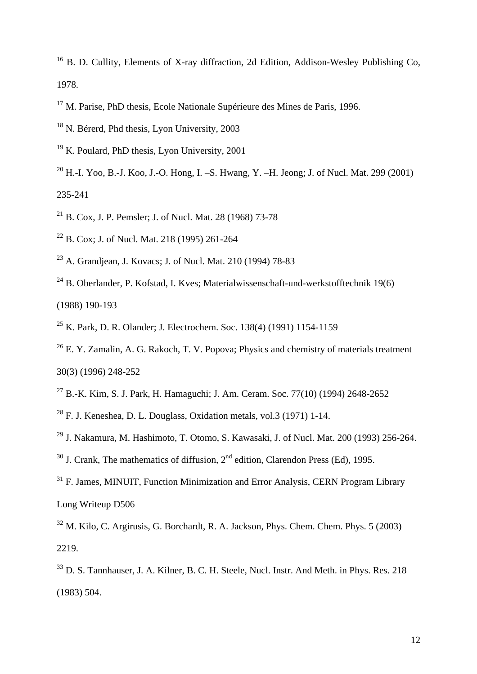<sup>16</sup> B. D. Cullity, Elements of X-ray diffraction, 2d Edition, Addison-Wesley Publishing Co, 1978.

 $17$  M. Parise, PhD thesis, Ecole Nationale Supérieure des Mines de Paris, 1996.

18 N. Bérerd, Phd thesis, Lyon University, 2003

19 K. Poulard, PhD thesis, Lyon University, 2001

- <sup>20</sup> H.-L. Yoo, B.-J. Koo, J.-O. Hong, L.-S. Hwang, Y. –H. Jeong: J. of Nucl. Mat. 299 (2001) 235-241
- 21 B. Cox, J. P. Pemsler; J. of Nucl. Mat. 28 (1968) 73-78
- 22 B. Cox; J. of Nucl. Mat. 218 (1995) 261-264
- <sup>23</sup> A. Grandiean, J. Kovacs; J. of Nucl. Mat. 210 (1994) 78-83
- $24$  B. Oberlander, P. Kofstad, I. Kves; Materialwissenschaft-und-werkstofftechnik 19(6) (1988) 190-193
- 25 K. Park, D. R. Olander; J. Electrochem. Soc. 138(4) (1991) 1154-1159
- <sup>26</sup> E. Y. Zamalin, A. G. Rakoch, T. V. Popova; Physics and chemistry of materials treatment 30(3) (1996) 248-252
- 27 B.-K. Kim, S. J. Park, H. Hamaguchi; J. Am. Ceram. Soc. 77(10) (1994) 2648-2652
- $28$  F. J. Keneshea, D. L. Douglass, Oxidation metals, vol. 3 (1971) 1-14.
- <sup>29</sup> J. Nakamura, M. Hashimoto, T. Otomo, S. Kawasaki, J. of Nucl. Mat. 200 (1993) 256-264.
- $30$  J. Crank, The mathematics of diffusion,  $2<sup>nd</sup>$  edition, Clarendon Press (Ed), 1995.
- <sup>31</sup> F. James, MINUIT, Function Minimization and Error Analysis, CERN Program Library Long Writeup D506
- $32$  M. Kilo, C. Argirusis, G. Borchardt, R. A. Jackson, Phys. Chem. Chem. Phys. 5 (2003) 2219.

<sup>&</sup>lt;sup>33</sup> D. S. Tannhauser, J. A. Kilner, B. C. H. Steele, Nucl. Instr. And Meth. in Phys. Res. 218 (1983) 504.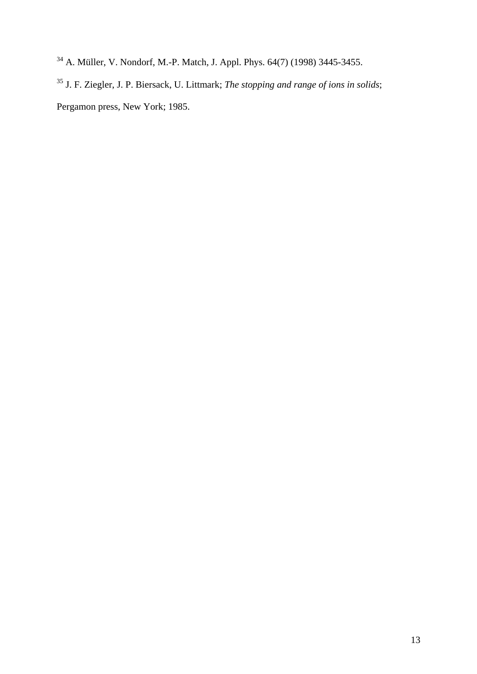- 34 A. Müller, V. Nondorf, M.-P. Match, J. Appl. Phys. 64(7) (1998) 3445-3455.
- 35 J. F. Ziegler, J. P. Biersack, U. Littmark; *The stopping and range of ions in solids*; Pergamon press, New York; 1985.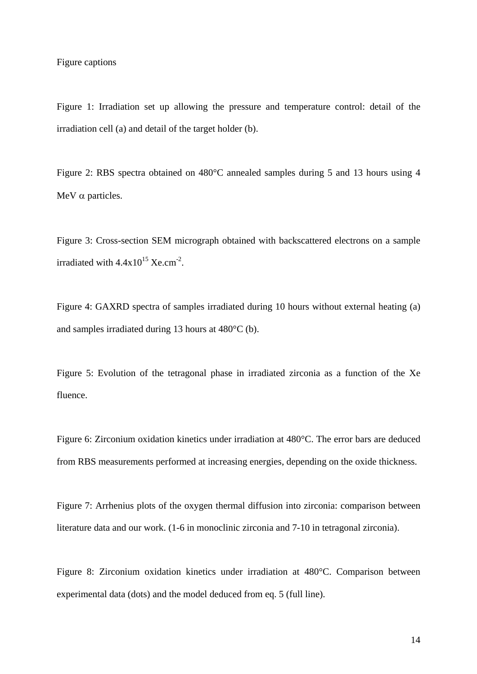### Figure captions

Figure 1: Irradiation set up allowing the pressure and temperature control: detail of the irradiation cell (a) and detail of the target holder (b).

Figure 2: RBS spectra obtained on 480°C annealed samples during 5 and 13 hours using 4 MeV α particles.

Figure 3: Cross-section SEM micrograph obtained with backscattered electrons on a sample irradiated with  $4.4x10^{15}$  Xe.cm<sup>-2</sup>.

Figure 4: GAXRD spectra of samples irradiated during 10 hours without external heating (a) and samples irradiated during 13 hours at 480°C (b).

Figure 5: Evolution of the tetragonal phase in irradiated zirconia as a function of the Xe fluence.

Figure 6: Zirconium oxidation kinetics under irradiation at 480°C. The error bars are deduced from RBS measurements performed at increasing energies, depending on the oxide thickness.

Figure 7: Arrhenius plots of the oxygen thermal diffusion into zirconia: comparison between literature data and our work. (1-6 in monoclinic zirconia and 7-10 in tetragonal zirconia).

Figure 8: Zirconium oxidation kinetics under irradiation at 480°C. Comparison between experimental data (dots) and the model deduced from eq. 5 (full line).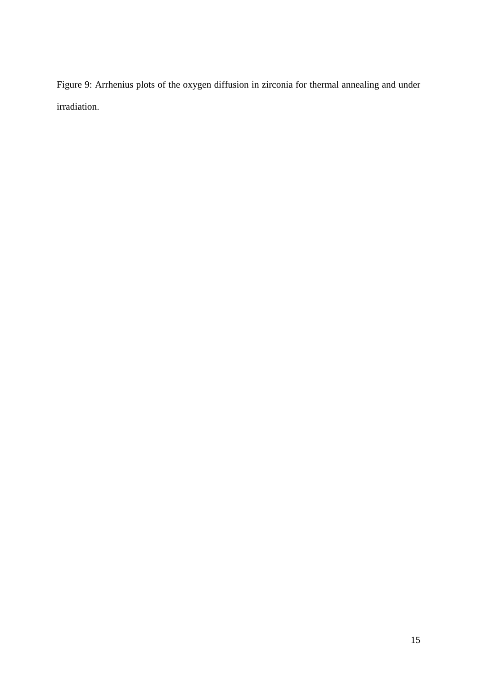Figure 9: Arrhenius plots of the oxygen diffusion in zirconia for thermal annealing and under irradiation.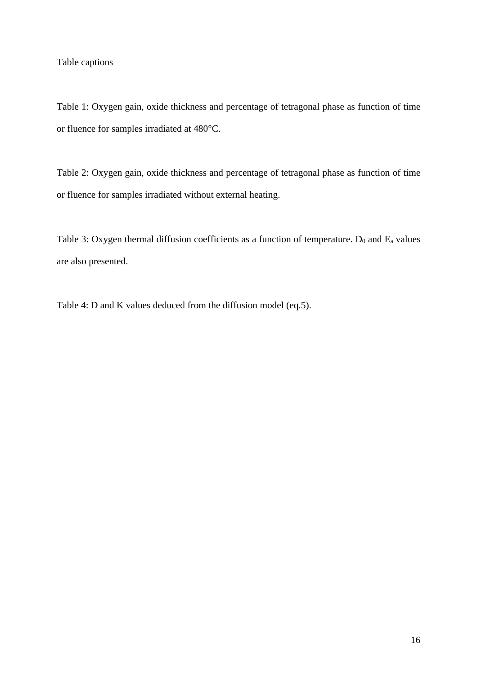## Table captions

Table 1: Oxygen gain, oxide thickness and percentage of tetragonal phase as function of time or fluence for samples irradiated at 480°C.

Table 2: Oxygen gain, oxide thickness and percentage of tetragonal phase as function of time or fluence for samples irradiated without external heating.

Table 3: Oxygen thermal diffusion coefficients as a function of temperature.  $D_0$  and  $E_a$  values are also presented.

Table 4: D and K values deduced from the diffusion model (eq.5).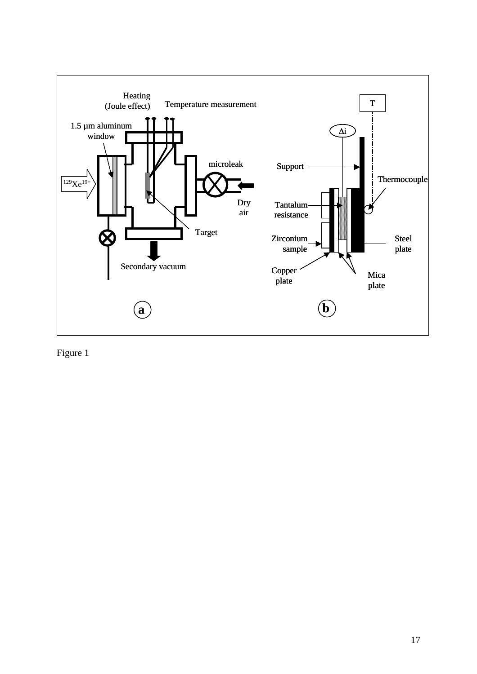

Figure 1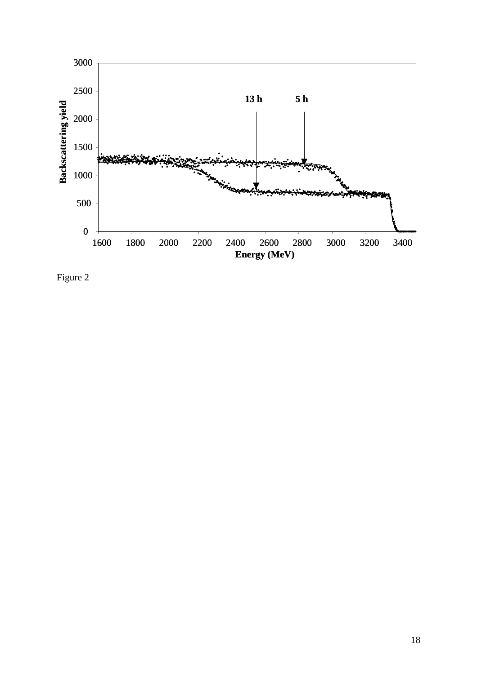

Figure 2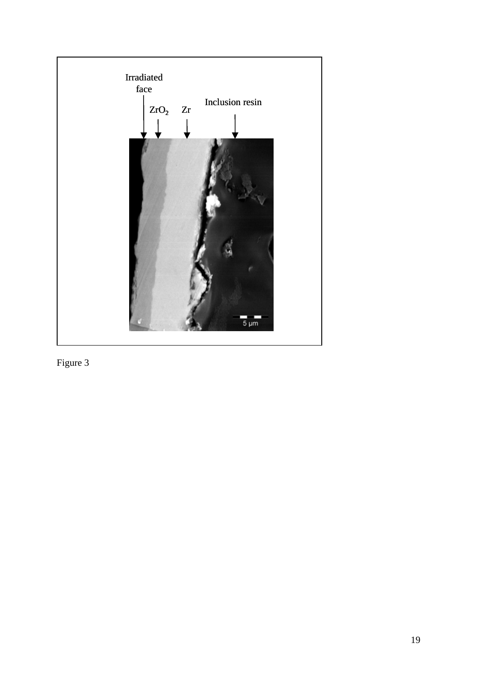

Figure 3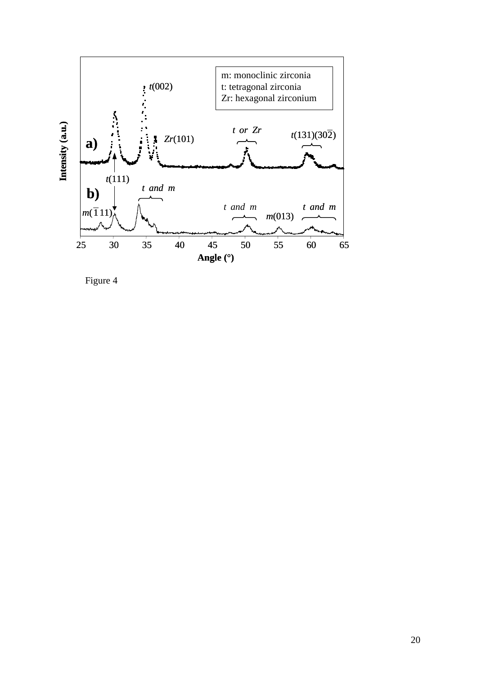

Figure 4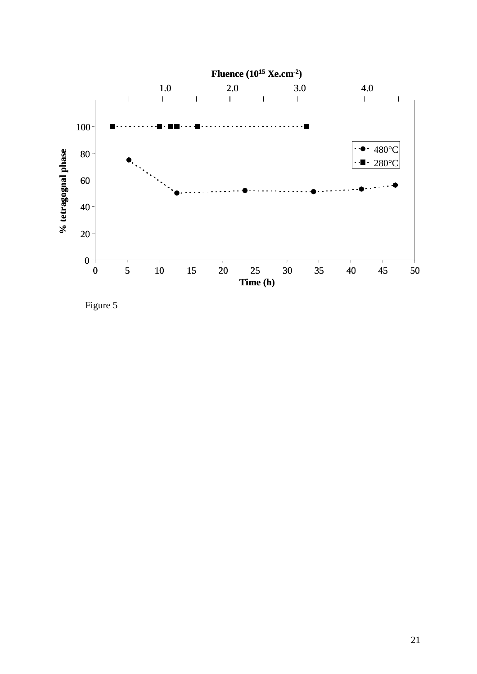

Figure 5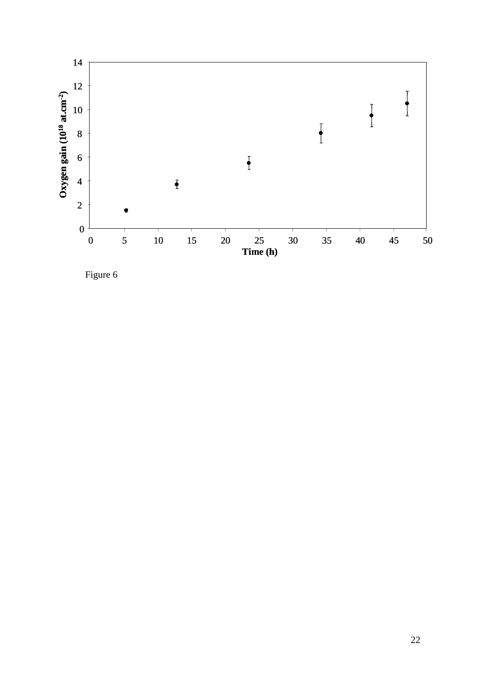

Figure 6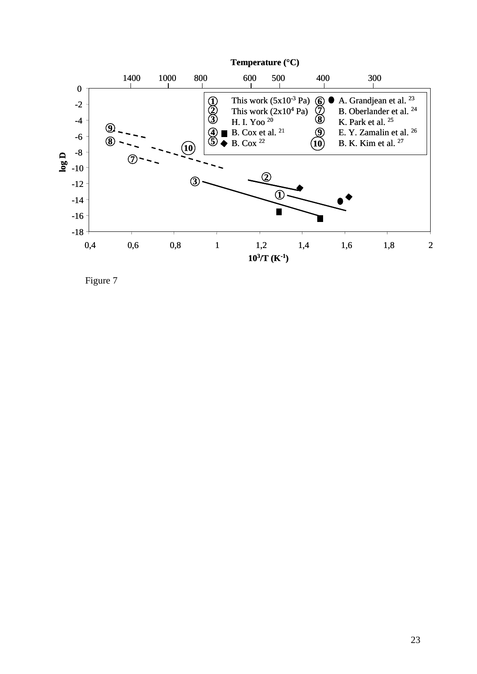

Figure 7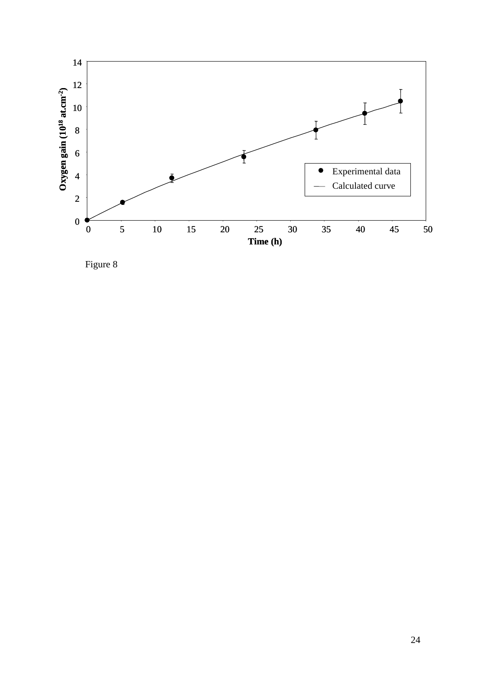

Figure 8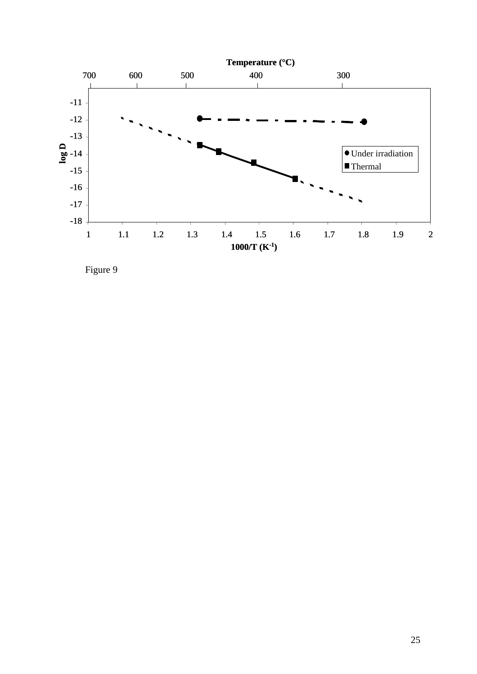

Figure 9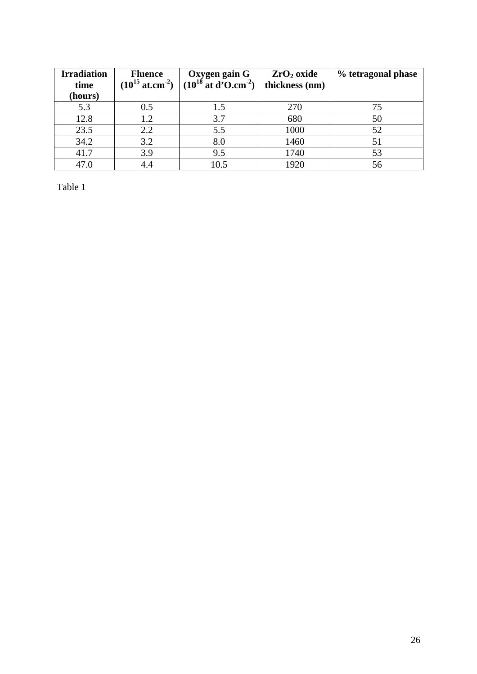| <b>Irradiation</b><br>time<br>(hours) | <b>Fluence</b><br>$(10^{15} \text{ at.cm}^{-2})$ | Oxygen gain G<br>$(10^{18}$ at d'O.cm <sup>-2</sup> ) | $ZrO2$ oxide<br>thickness (nm) | % tetragonal phase |
|---------------------------------------|--------------------------------------------------|-------------------------------------------------------|--------------------------------|--------------------|
| 5.3                                   | 0.5                                              | 1.5                                                   | 270                            | 75                 |
| 12.8                                  | 1.2                                              | 3.7                                                   | 680                            | 50                 |
| 23.5                                  | 2.2                                              | 5.5                                                   | 1000                           | 52                 |
| 34.2                                  | 3.2                                              | 8.0                                                   | 1460                           | 51                 |
| 41.7                                  | 3.9                                              | 9.5                                                   | 1740                           | 53                 |
| 47.0                                  | 4.4                                              | 10.5                                                  | 1920                           | 56                 |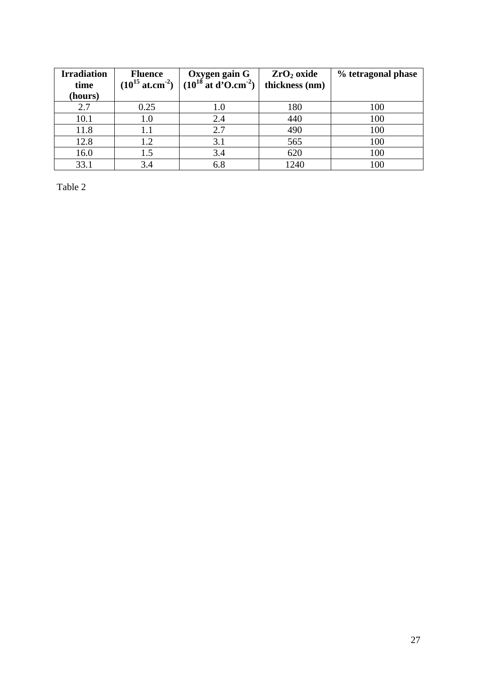| <b>Irradiation</b><br>time<br>(hours) | <b>Fluence</b><br>$(10^{15} \text{ at.cm}^{-2})$ | Oxygen gain G<br>$(10^{18}$ at d'O.cm <sup>-2</sup> ) | $ZrO2$ oxide<br>thickness (nm) | % tetragonal phase |
|---------------------------------------|--------------------------------------------------|-------------------------------------------------------|--------------------------------|--------------------|
| 2.7                                   | 0.25                                             | 1.0                                                   | 180                            | 100                |
| 10.1                                  | $1.0\,$                                          | 2.4                                                   | 440                            | 100                |
| 11.8                                  | 1.1                                              | 2.7                                                   | 490                            | 100                |
| 12.8                                  | 1.2                                              | 3.1                                                   | 565                            | 100                |
| 16.0                                  | 1.5                                              | 3.4                                                   | 620                            | 100                |
| 33.1                                  | 3.4                                              | 6.8                                                   | 1240                           | 100                |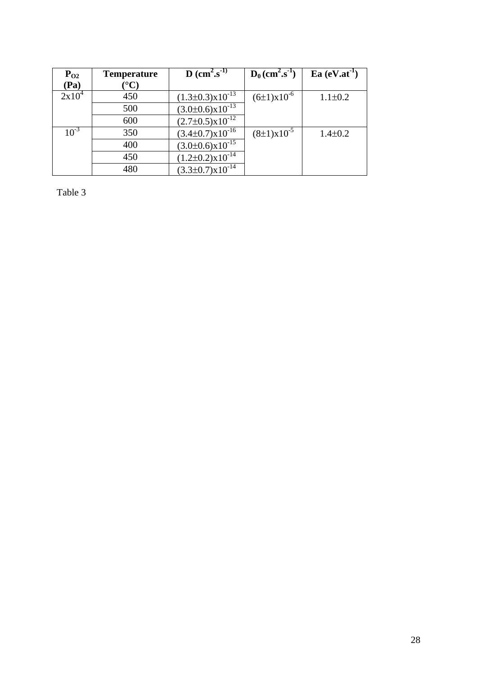| $P_{O2}$  | <b>Temperature</b> | <b>D</b> (cm <sup>2</sup> .s <sup>-1)</sup> | $D_0$ (cm <sup>2</sup> .s <sup>-1</sup> ) | $Ea (eV.at^{-1})$ |
|-----------|--------------------|---------------------------------------------|-------------------------------------------|-------------------|
| (Pa)      | $^\circ{\rm C}$    |                                             |                                           |                   |
| $2x10^4$  | 450                | $(1.3\pm0.3)x10^{-13}$                      | $(6\pm1)\times10^{-6}$                    | $1.1 \pm 0.2$     |
|           | 500                | $(3.0\pm0.6)x10^{-13}$                      |                                           |                   |
|           | 600                | $(2.7\pm0.5)x10^{-12}$                      |                                           |                   |
| $10^{-3}$ | 350                | $(3.4\pm0.7)\times10^{-16}$                 | $(8\pm1)\times10^{-5}$                    | $1.4 \pm 0.2$     |
|           | 400                | $(3.0\pm0.6)x10^{-15}$                      |                                           |                   |
|           | 450                | $(1.2\pm0.2)x10^{-14}$                      |                                           |                   |
|           | 480                | $(3.3\pm0.7)x10^{-14}$                      |                                           |                   |